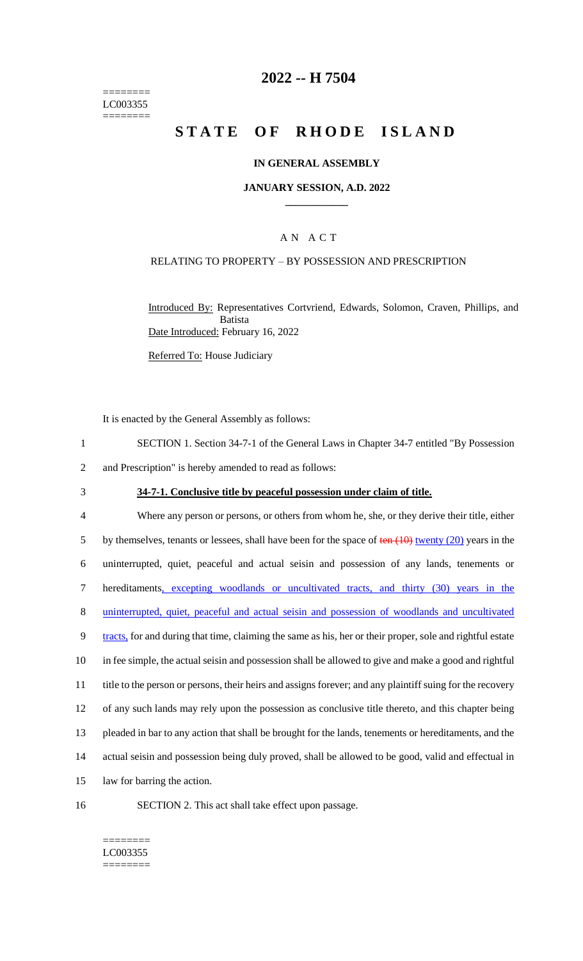======== LC003355 ========

### **2022 -- H 7504**

# **STATE OF RHODE ISLAND**

#### **IN GENERAL ASSEMBLY**

#### **JANUARY SESSION, A.D. 2022 \_\_\_\_\_\_\_\_\_\_\_\_**

### A N A C T

#### RELATING TO PROPERTY – BY POSSESSION AND PRESCRIPTION

Introduced By: Representatives Cortvriend, Edwards, Solomon, Craven, Phillips, and Batista Date Introduced: February 16, 2022

Referred To: House Judiciary

It is enacted by the General Assembly as follows:

- 1 SECTION 1. Section 34-7-1 of the General Laws in Chapter 34-7 entitled "By Possession
- 2 and Prescription" is hereby amended to read as follows:
- 

### 3 **34-7-1. Conclusive title by peaceful possession under claim of title.**

 Where any person or persons, or others from whom he, she, or they derive their title, either 5 by themselves, tenants or lessees, shall have been for the space of  $\frac{\tan(10)}{\tan(10)}$  twenty (20) years in the uninterrupted, quiet, peaceful and actual seisin and possession of any lands, tenements or hereditaments, excepting woodlands or uncultivated tracts, and thirty (30) years in the uninterrupted, quiet, peaceful and actual seisin and possession of woodlands and uncultivated 9 tracts, for and during that time, claiming the same as his, her or their proper, sole and rightful estate in fee simple, the actual seisin and possession shall be allowed to give and make a good and rightful title to the person or persons, their heirs and assigns forever; and any plaintiff suing for the recovery of any such lands may rely upon the possession as conclusive title thereto, and this chapter being pleaded in bar to any action that shall be brought for the lands, tenements or hereditaments, and the actual seisin and possession being duly proved, shall be allowed to be good, valid and effectual in law for barring the action.

16 SECTION 2. This act shall take effect upon passage.

#### ======== LC003355 ========